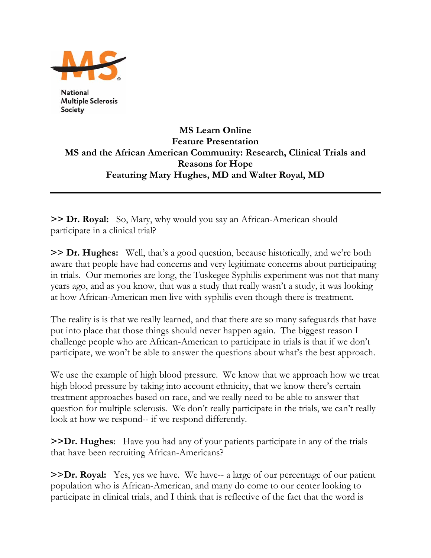

**National Multiple Sclerosis** Society

## **MS Learn Online Feature Presentation MS and the African American Community: Research, Clinical Trials and Reasons for Hope Featuring Mary Hughes, MD and Walter Royal, MD**

**>> Dr. Royal:** So, Mary, why would you say an African-American should participate in a clinical trial?

**>> Dr. Hughes:** Well, that's a good question, because historically, and we're both aware that people have had concerns and very legitimate concerns about participating in trials. Our memories are long, the Tuskegee Syphilis experiment was not that many years ago, and as you know, that was a study that really wasn't a study, it was looking at how African-American men live with syphilis even though there is treatment.

The reality is is that we really learned, and that there are so many safeguards that have put into place that those things should never happen again. The biggest reason I challenge people who are African-American to participate in trials is that if we don't participate, we won't be able to answer the questions about what's the best approach.

We use the example of high blood pressure. We know that we approach how we treat high blood pressure by taking into account ethnicity, that we know there's certain treatment approaches based on race, and we really need to be able to answer that question for multiple sclerosis. We don't really participate in the trials, we can't really look at how we respond-- if we respond differently.

**>>Dr. Hughes**: Have you had any of your patients participate in any of the trials that have been recruiting African-Americans?

**>>Dr. Royal:** Yes, yes we have. We have-- a large of our percentage of our patient population who is African-American, and many do come to our center looking to participate in clinical trials, and I think that is reflective of the fact that the word is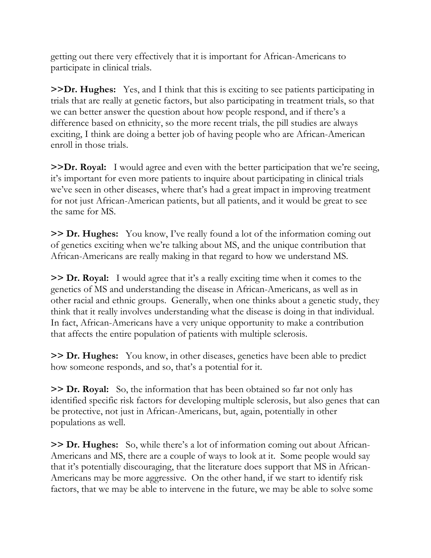getting out there very effectively that it is important for African-Americans to participate in clinical trials.

**>>Dr. Hughes:** Yes, and I think that this is exciting to see patients participating in trials that are really at genetic factors, but also participating in treatment trials, so that we can better answer the question about how people respond, and if there's a difference based on ethnicity, so the more recent trials, the pill studies are always exciting, I think are doing a better job of having people who are African-American enroll in those trials.

**>>Dr. Royal:** I would agree and even with the better participation that we're seeing, it's important for even more patients to inquire about participating in clinical trials we've seen in other diseases, where that's had a great impact in improving treatment for not just African-American patients, but all patients, and it would be great to see the same for MS.

**>> Dr. Hughes:** You know, I've really found a lot of the information coming out of genetics exciting when we're talking about MS, and the unique contribution that African-Americans are really making in that regard to how we understand MS.

**>> Dr. Royal:** I would agree that it's a really exciting time when it comes to the genetics of MS and understanding the disease in African-Americans, as well as in other racial and ethnic groups. Generally, when one thinks about a genetic study, they think that it really involves understanding what the disease is doing in that individual. In fact, African-Americans have a very unique opportunity to make a contribution that affects the entire population of patients with multiple sclerosis.

**>> Dr. Hughes:** You know, in other diseases, genetics have been able to predict how someone responds, and so, that's a potential for it.

**>> Dr. Royal:** So, the information that has been obtained so far not only has identified specific risk factors for developing multiple sclerosis, but also genes that can be protective, not just in African-Americans, but, again, potentially in other populations as well.

**>> Dr. Hughes:** So, while there's a lot of information coming out about African-Americans and MS, there are a couple of ways to look at it. Some people would say that it's potentially discouraging, that the literature does support that MS in African-Americans may be more aggressive. On the other hand, if we start to identify risk factors, that we may be able to intervene in the future, we may be able to solve some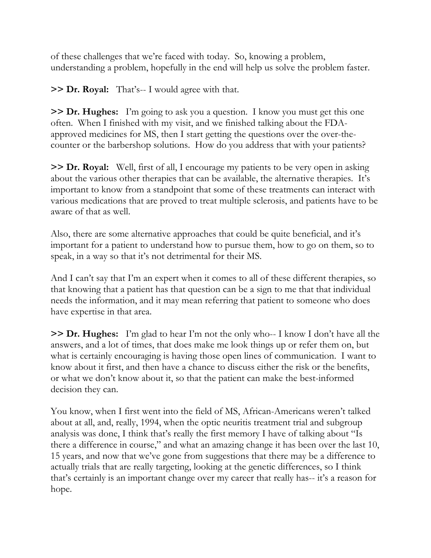of these challenges that we're faced with today. So, knowing a problem, understanding a problem, hopefully in the end will help us solve the problem faster.

**>> Dr. Royal:** That's-- I would agree with that.

**>> Dr. Hughes:** I'm going to ask you a question. I know you must get this one often. When I finished with my visit, and we finished talking about the FDAapproved medicines for MS, then I start getting the questions over the over-thecounter or the barbershop solutions. How do you address that with your patients?

**>> Dr. Royal:** Well, first of all, I encourage my patients to be very open in asking about the various other therapies that can be available, the alternative therapies. It's important to know from a standpoint that some of these treatments can interact with various medications that are proved to treat multiple sclerosis, and patients have to be aware of that as well.

Also, there are some alternative approaches that could be quite beneficial, and it's important for a patient to understand how to pursue them, how to go on them, so to speak, in a way so that it's not detrimental for their MS.

And I can't say that I'm an expert when it comes to all of these different therapies, so that knowing that a patient has that question can be a sign to me that that individual needs the information, and it may mean referring that patient to someone who does have expertise in that area.

**>> Dr. Hughes:** I'm glad to hear I'm not the only who-- I know I don't have all the answers, and a lot of times, that does make me look things up or refer them on, but what is certainly encouraging is having those open lines of communication. I want to know about it first, and then have a chance to discuss either the risk or the benefits, or what we don't know about it, so that the patient can make the best-informed decision they can.

You know, when I first went into the field of MS, African-Americans weren't talked about at all, and, really, 1994, when the optic neuritis treatment trial and subgroup analysis was done, I think that's really the first memory I have of talking about "Is there a difference in course," and what an amazing change it has been over the last 10, 15 years, and now that we've gone from suggestions that there may be a difference to actually trials that are really targeting, looking at the genetic differences, so I think that's certainly is an important change over my career that really has-- it's a reason for hope.